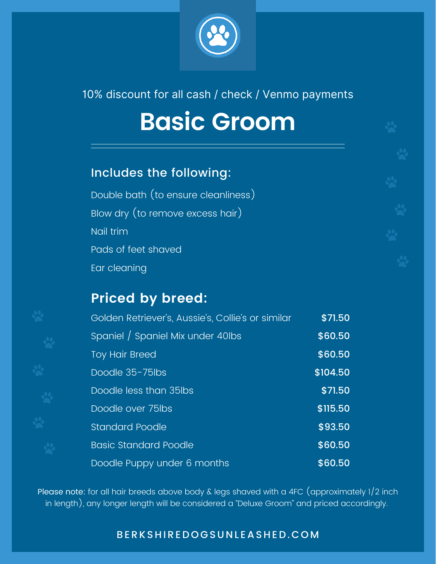

#### 10% discount for all cash / check / Venmo payments

## **Basic Groom**

#### Includes the following:

Double bath (to ensure cleanliness) Blow dry (to remove excess hair) Nail trim Pads of feet shaved Ear cleaning

### **Priced by breed:**

| Golden Retriever's, Aussie's, Collie's or similar | \$71.50  |
|---------------------------------------------------|----------|
| Spaniel / Spaniel Mix under 40lbs                 | \$60.50  |
| <b>Toy Hair Breed</b>                             | \$60.50  |
| Doodle 35-75lbs                                   | \$104.50 |
| Doodle less than 35lbs                            | \$71.50  |
| Doodle over 75lbs                                 | \$115.50 |
| <b>Standard Poodle</b>                            | \$93.50  |
| <b>Basic Standard Poodle</b>                      | \$60.50  |
| Doodle Puppy under 6 months                       | \$60.50  |

Please note: for all hair breeds above body & legs shaved with a 4FC (approximately 1/2 inch in length), any longer length will be considered a "Deluxe Groom" and priced accordingly.

#### B E R K S H I R E D O G SU N L EAS H E D . C O M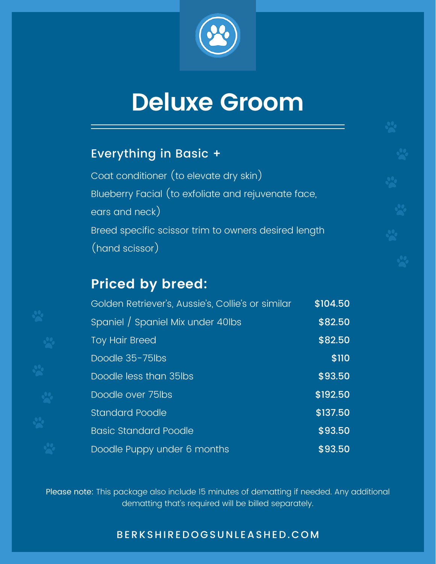

## **Deluxe Groom**

#### Everything in Basic +

Coat conditioner (to elevate dry skin) Blueberry Facial (to exfoliate and rejuvenate face, ears and neck) Breed specific scissor trim to owners desired length (hand scissor)

#### **Priced by breed:**

| Golden Retriever's, Aussie's, Collie's or similar | \$104.50 |
|---------------------------------------------------|----------|
| Spaniel / Spaniel Mix under 40lbs                 | \$82.50  |
| <b>Toy Hair Breed</b>                             | \$82.50  |
| Doodle 35-75lbs                                   | \$110    |
| Doodle less than 35lbs                            | \$93.50  |
| Doodle over 75lbs                                 | \$192.50 |
| <b>Standard Poodle</b>                            | \$137.50 |
| <b>Basic Standard Poodle</b>                      | \$93.50  |
| Doodle Puppy under 6 months                       | \$93.50  |

Please note: This package also include 15 minutes of dematting if needed. Any additional dematting that's required will be billed separately.

#### B E R K S H I R E D O G SU N L EAS H E D . C O M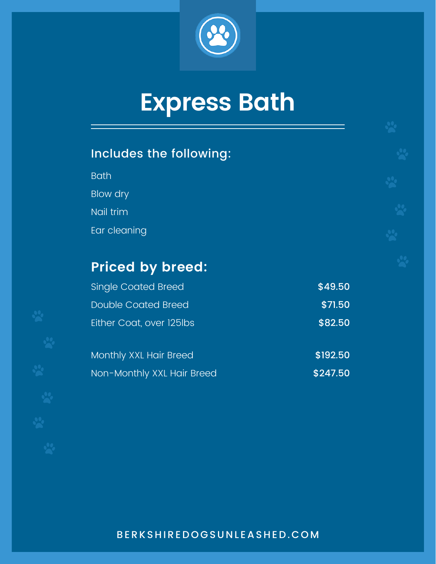

# **Express Bath**

### Includes the following:

Bath Blow dry Nail trim Ear cleaning

### **Priced by breed:**

| <b>Single Coated Breed</b> | \$49.50  |
|----------------------------|----------|
| <b>Double Coated Breed</b> | \$71.50  |
| Either Coat, over 125lbs   | \$82.50  |
| Monthly XXL Hair Breed     | \$192.50 |
| Non-Monthly XXL Hair Breed | \$247.50 |